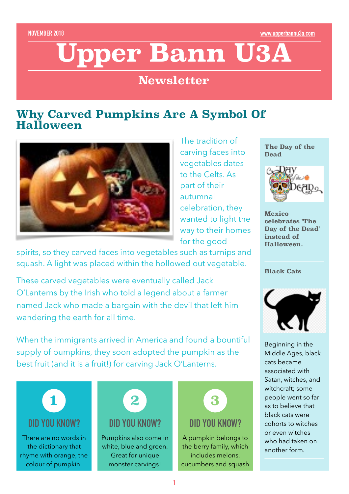# **Upper Bann U3A**

## **Newsletter**

#### **Why Carved Pumpkins Are A Symbol Of Halloween**



The tradition of carving faces into vegetables dates to the Celts. As part of their autumnal celebration, they wanted to light the way to their homes for the good

spirits, so they carved faces into vegetables such as turnips and squash. A light was placed within the hollowed out vegetable.

These carved vegetables were eventually called Jack O'Lanterns by the Irish who told a legend about a farmer named Jack who made a bargain with the devil that left him wandering the earth for all time.

When the immigrants arrived in America and found a bountiful supply of pumpkins, they soon adopted the pumpkin as the best fruit (and it is a fruit!) for carving Jack O'Lanterns.



**The Day of the Dead** 



**Mexico celebrates 'The Day of the Dead' instead of Halloween.**

**Black Cats**



Beginning in the Middle Ages, black cats became associated with Satan, witches, and witchcraft; some people went so far as to believe that black cats were cohorts to witches or even witches who had taken on another form.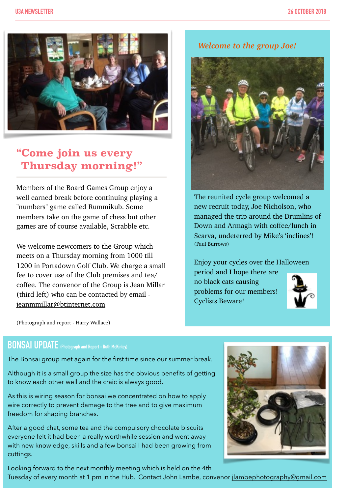

## **"Come join us every Thursday morning!"**

Members of the Board Games Group enjoy a well earned break before continuing playing a "numbers" game called Rummikub. Some members take on the game of chess but other games are of course available, Scrabble etc.

We welcome newcomers to the Group which meets on a Thursday morning from 1000 till 1200 in Portadown Golf Club. We charge a small fee to cover use of the Club premises and tea/ coffee. The convenor of the Group is Jean Millar (third left) who can be contacted by email [jeanmmillar@btinternet.com](mailto:jeanmmillar@btinternet.com)

*Welcome to the group Joe!*



The reunited cycle group welcomed a new recruit today, Joe Nicholson, who managed the trip around the Drumlins of Down and Armagh with coffee/lunch in Scarva, undeterred by Mike's 'inclines'! (Paul Burrows)

Enjoy your cycles over the Halloween period and I hope there are

no black cats causing problems for our members! Cyclists Beware!



(Photograph and report - Harry Wallace)

#### **BONSAI UPDATE (Photograph and Report - Ruth McKinley)**

The Bonsai group met again for the first time since our summer break.

Although it is a small group the size has the obvious benefits of getting to know each other well and the craic is always good.

As this is wiring season for bonsai we concentrated on how to apply wire correctly to prevent damage to the tree and to give maximum freedom for shaping branches.

After a good chat, some tea and the compulsory chocolate biscuits everyone felt it had been a really worthwhile session and went away with new knowledge, skills and a few bonsai I had been growing from cuttings.

Looking forward to the next monthly meeting which is held on the 4th Tuesday of every month at 1 pm in the Hub. Contact John Lambe, convenor [jlambephotography@gmail.com](mailto:jlambephotography@gmail.com)

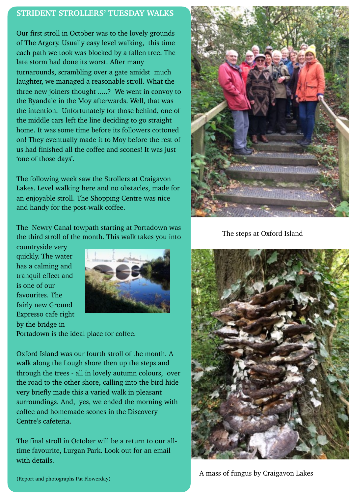#### **STRIDENT STROLLERS' TUESDAY WALKS**

Our first stroll in October was to the lovely grounds of The Argory. Usually easy level walking, this time each path we took was blocked by a fallen tree. The late storm had done its worst. After many turnarounds, scrambling over a gate amidst much laughter, we managed a reasonable stroll. What the three new joiners thought .....? We went in convoy to the Ryandale in the Moy afterwards. Well, that was the intention. Unfortunately for those behind, one of the middle cars left the line deciding to go straight home. It was some time before its followers cottoned on! They eventually made it to Moy before the rest of us had finished all the coffee and scones! It was just 'one of those days'.

The following week saw the Strollers at Craigavon Lakes. Level walking here and no obstacles, made for an enjoyable stroll. The Shopping Centre was nice and handy for the post-walk coffee.

The Newry Canal towpath starting at Portadown was the third stroll of the month. This walk takes you into

countryside very quickly. The water has a calming and tranquil effect and is one of our favourites. The fairly new Ground Expresso cafe right by the bridge in



Portadown is the ideal place for coffee.

Oxford Island was our fourth stroll of the month. A walk along the Lough shore then up the steps and through the trees - all in lovely autumn colours, over the road to the other shore, calling into the bird hide very briefly made this a varied walk in pleasant surroundings. And, yes, we ended the morning with coffee and homemade scones in the Discovery Centre's cafeteria.

The final stroll in October will be a return to our alltime favourite, Lurgan Park. Look out for an email with details.



The steps at Oxford Island



A mass of fungus by Craigavon Lakes

(Report and photographs Pat Flowerday)